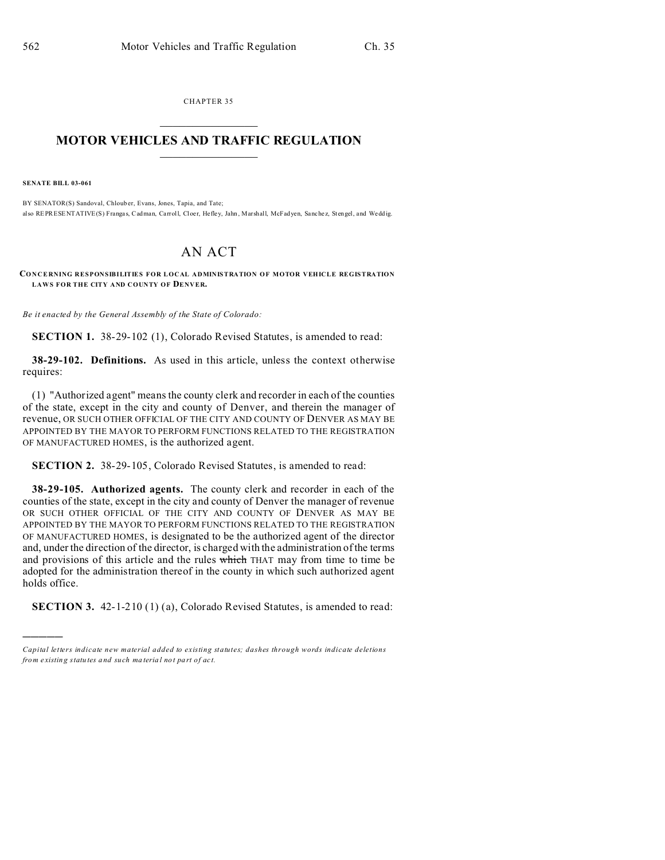CHAPTER 35  $\overline{\phantom{a}}$  , where  $\overline{\phantom{a}}$ 

## **MOTOR VEHICLES AND TRAFFIC REGULATION**  $\frac{1}{2}$  ,  $\frac{1}{2}$  ,  $\frac{1}{2}$  ,  $\frac{1}{2}$  ,  $\frac{1}{2}$  ,  $\frac{1}{2}$  ,  $\frac{1}{2}$

**SENATE BILL 03-061**

)))))

BY SENATOR(S) Sandoval, Chloub er, Evans, Jones, Tapia, and Tate; also REPRESENTATIVE(S) Frangas, Cadman, Carroll, Cloer, Hefley, Jahn, Marshall, McFadyen, Sanchez, Stengel, and Weddig.

## AN ACT

**CONCERNING RESPONSIBILITIES FOR LOCAL ADMINISTRATION OF MOTOR VEHICLE REGISTRATION** LAWS FOR THE CITY AND COUNTY OF **DENVER**.

*Be it enacted by the General Assembly of the State of Colorado:*

**SECTION 1.** 38-29-102 (1), Colorado Revised Statutes, is amended to read:

**38-29-102. Definitions.** As used in this article, unless the context otherwise requires:

(1) "Authorized agent" means the county clerk and recorder in each of the counties of the state, except in the city and county of Denver, and therein the manager of revenue, OR SUCH OTHER OFFICIAL OF THE CITY AND COUNTY OF DENVER AS MAY BE APPOINTED BY THE MAYOR TO PERFORM FUNCTIONS RELATED TO THE REGISTRATION OF MANUFACTURED HOMES, is the authorized agent.

**SECTION 2.** 38-29-105, Colorado Revised Statutes, is amended to read:

**38-29-105. Authorized agents.** The county clerk and recorder in each of the counties of the state, except in the city and county of Denver the manager of revenue OR SUCH OTHER OFFICIAL OF THE CITY AND COUNTY OF DENVER AS MAY BE APPOINTED BY THE MAYOR TO PERFORM FUNCTIONS RELATED TO THE REGISTRATION OF MANUFACTURED HOMES, is designated to be the authorized agent of the director and, under the direction of the director, is charged with the administration of the terms and provisions of this article and the rules which THAT may from time to time be adopted for the administration thereof in the county in which such authorized agent holds office.

**SECTION 3.** 42-1-210 (1) (a), Colorado Revised Statutes, is amended to read:

*Capital letters indicate new material added to existing statutes; dashes through words indicate deletions from e xistin g statu tes a nd such ma teria l no t pa rt of ac t.*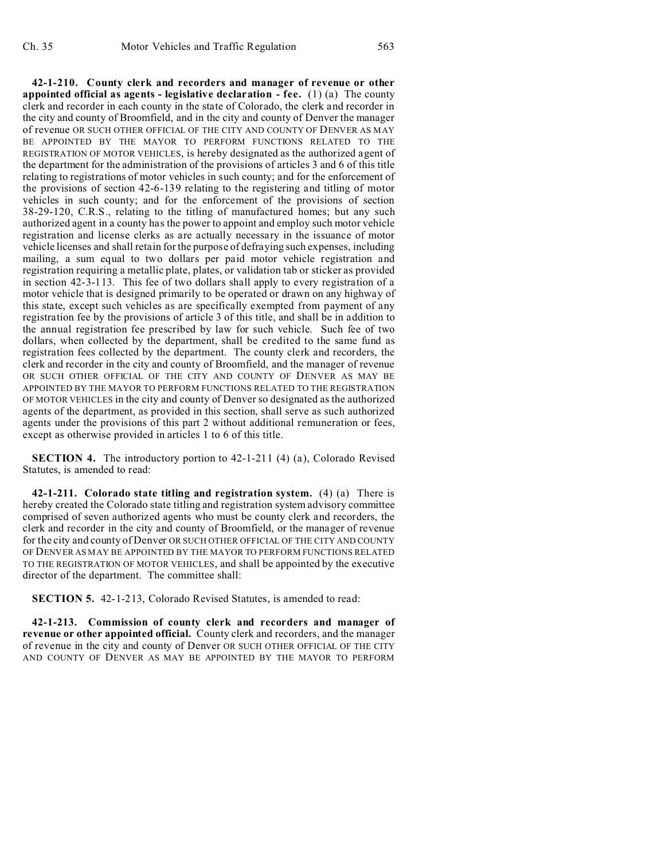**42-1-210. County clerk and recorders and manager of revenue or other appointed official as agents - legislative declaration - fee.** (1) (a) The county clerk and recorder in each county in the state of Colorado, the clerk and recorder in the city and county of Broomfield, and in the city and county of Denver the manager of revenue OR SUCH OTHER OFFICIAL OF THE CITY AND COUNTY OF DENVER AS MAY BE APPOINTED BY THE MAYOR TO PERFORM FUNCTIONS RELATED TO THE REGISTRATION OF MOTOR VEHICLES, is hereby designated as the authorized agent of the department for the administration of the provisions of articles 3 and 6 of this title relating to registrations of motor vehicles in such county; and for the enforcement of the provisions of section 42-6-139 relating to the registering and titling of motor vehicles in such county; and for the enforcement of the provisions of section 38-29-120, C.R.S., relating to the titling of manufactured homes; but any such authorized agent in a county has the power to appoint and employ such motor vehicle registration and license clerks as are actually necessary in the issuance of motor vehicle licenses and shall retain for the purpose of defraying such expenses, including mailing, a sum equal to two dollars per paid motor vehicle registration and registration requiring a metallic plate, plates, or validation tab or sticker as provided in section 42-3-113. This fee of two dollars shall apply to every registration of a motor vehicle that is designed primarily to be operated or drawn on any highway of this state, except such vehicles as are specifically exempted from payment of any registration fee by the provisions of article 3 of this title, and shall be in addition to the annual registration fee prescribed by law for such vehicle. Such fee of two dollars, when collected by the department, shall be credited to the same fund as registration fees collected by the department. The county clerk and recorders, the clerk and recorder in the city and county of Broomfield, and the manager of revenue OR SUCH OTHER OFFICIAL OF THE CITY AND COUNTY OF DENVER AS MAY BE APPOINTED BY THE MAYOR TO PERFORM FUNCTIONS RELATED TO THE REGISTRATION OF MOTOR VEHICLES in the city and county of Denver so designated as the authorized agents of the department, as provided in this section, shall serve as such authorized agents under the provisions of this part 2 without additional remuneration or fees, except as otherwise provided in articles 1 to 6 of this title.

**SECTION 4.** The introductory portion to 42-1-211 (4) (a), Colorado Revised Statutes, is amended to read:

**42-1-211. Colorado state titling and registration system.** (4) (a) There is hereby created the Colorado state titling and registration system advisory committee comprised of seven authorized agents who must be county clerk and recorders, the clerk and recorder in the city and county of Broomfield, or the manager of revenue for the city and county of Denver OR SUCH OTHER OFFICIAL OF THE CITY AND COUNTY OF DENVER AS MAY BE APPOINTED BY THE MAYOR TO PERFORM FUNCTIONS RELATED TO THE REGISTRATION OF MOTOR VEHICLES, and shall be appointed by the executive director of the department. The committee shall:

**SECTION 5.** 42-1-213, Colorado Revised Statutes, is amended to read:

**42-1-213. Commission of county clerk and recorders and manager of revenue or other appointed official.** County clerk and recorders, and the manager of revenue in the city and county of Denver OR SUCH OTHER OFFICIAL OF THE CITY AND COUNTY OF DENVER AS MAY BE APPOINTED BY THE MAYOR TO PERFORM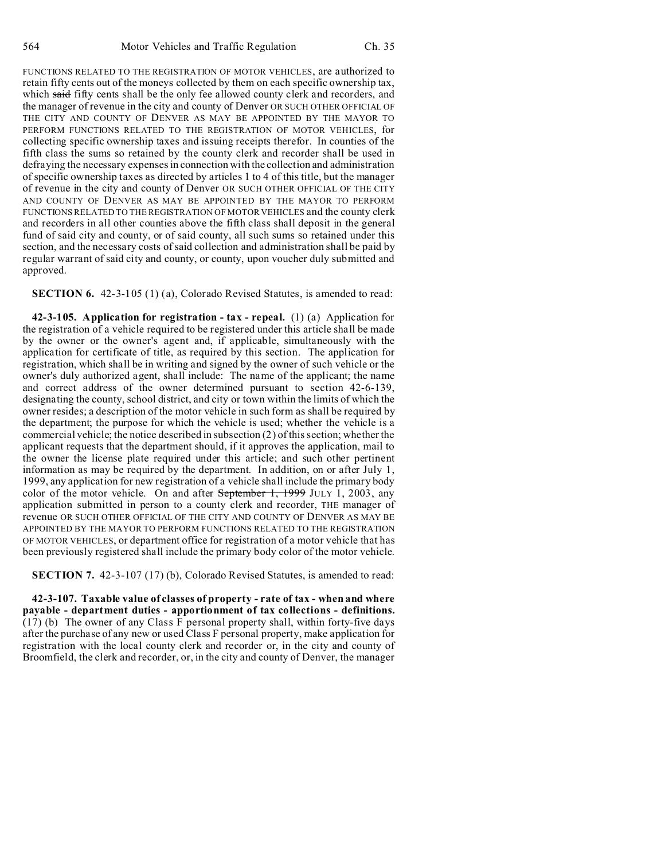FUNCTIONS RELATED TO THE REGISTRATION OF MOTOR VEHICLES, are authorized to retain fifty cents out of the moneys collected by them on each specific ownership tax, which said fifty cents shall be the only fee allowed county clerk and recorders, and the manager of revenue in the city and county of Denver OR SUCH OTHER OFFICIAL OF THE CITY AND COUNTY OF DENVER AS MAY BE APPOINTED BY THE MAYOR TO PERFORM FUNCTIONS RELATED TO THE REGISTRATION OF MOTOR VEHICLES, for collecting specific ownership taxes and issuing receipts therefor. In counties of the fifth class the sums so retained by the county clerk and recorder shall be used in defraying the necessary expenses in connection with the collection and administration of specific ownership taxes as directed by articles 1 to 4 of this title, but the manager of revenue in the city and county of Denver OR SUCH OTHER OFFICIAL OF THE CITY AND COUNTY OF DENVER AS MAY BE APPOINTED BY THE MAYOR TO PERFORM FUNCTIONS RELATED TO THE REGISTRATION OF MOTOR VEHICLES and the county clerk and recorders in all other counties above the fifth class shall deposit in the general fund of said city and county, or of said county, all such sums so retained under this section, and the necessary costs of said collection and administration shall be paid by regular warrant of said city and county, or county, upon voucher duly submitted and approved.

**SECTION 6.** 42-3-105 (1) (a), Colorado Revised Statutes, is amended to read:

**42-3-105. Application for registration - tax - repeal.** (1) (a) Application for the registration of a vehicle required to be registered under this article shall be made by the owner or the owner's agent and, if applicable, simultaneously with the application for certificate of title, as required by this section. The application for registration, which shall be in writing and signed by the owner of such vehicle or the owner's duly authorized agent, shall include: The name of the applicant; the name and correct address of the owner determined pursuant to section 42-6-139, designating the county, school district, and city or town within the limits of which the owner resides; a description of the motor vehicle in such form as shall be required by the department; the purpose for which the vehicle is used; whether the vehicle is a commercial vehicle; the notice described in subsection (2) of this section; whether the applicant requests that the department should, if it approves the application, mail to the owner the license plate required under this article; and such other pertinent information as may be required by the department. In addition, on or after July 1, 1999, any application for new registration of a vehicle shall include the primary body color of the motor vehicle. On and after September 1, 1999 JULY 1, 2003, any application submitted in person to a county clerk and recorder, THE manager of revenue OR SUCH OTHER OFFICIAL OF THE CITY AND COUNTY OF DENVER AS MAY BE APPOINTED BY THE MAYOR TO PERFORM FUNCTIONS RELATED TO THE REGISTRATION OF MOTOR VEHICLES, or department office for registration of a motor vehicle that has been previously registered shall include the primary body color of the motor vehicle.

**SECTION 7.** 42-3-107 (17) (b), Colorado Revised Statutes, is amended to read:

**42-3-107. Taxable value of classes of property - rate of tax - when and where payable - department duties - apportionment of tax collections - definitions.** (17) (b) The owner of any Class F personal property shall, within forty-five days after the purchase of any new or used Class F personal property, make application for registration with the local county clerk and recorder or, in the city and county of Broomfield, the clerk and recorder, or, in the city and county of Denver, the manager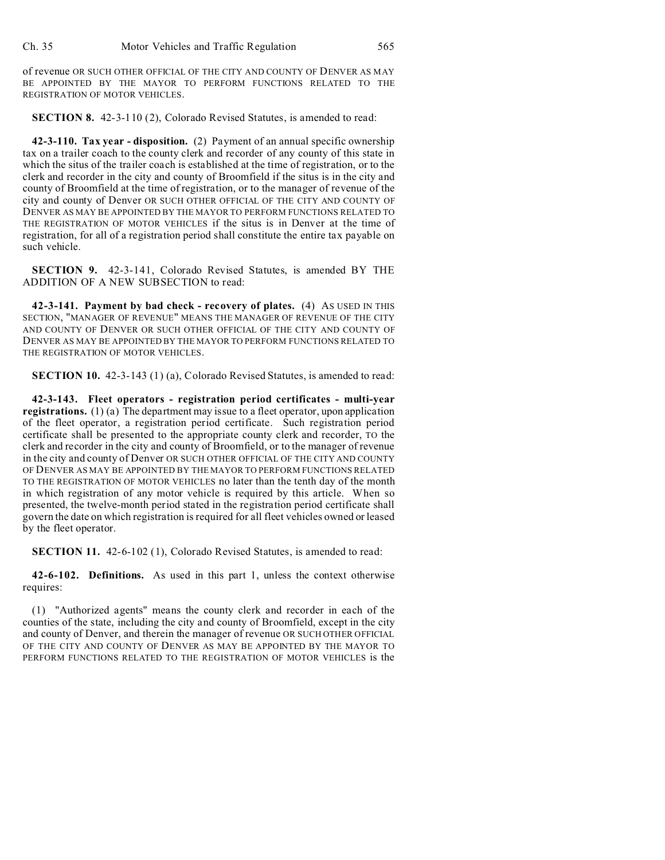of revenue OR SUCH OTHER OFFICIAL OF THE CITY AND COUNTY OF DENVER AS MAY BE APPOINTED BY THE MAYOR TO PERFORM FUNCTIONS RELATED TO THE REGISTRATION OF MOTOR VEHICLES.

**SECTION 8.** 42-3-110 (2), Colorado Revised Statutes, is amended to read:

**42-3-110. Tax year - disposition.** (2) Payment of an annual specific ownership tax on a trailer coach to the county clerk and recorder of any county of this state in which the situs of the trailer coach is established at the time of registration, or to the clerk and recorder in the city and county of Broomfield if the situs is in the city and county of Broomfield at the time of registration, or to the manager of revenue of the city and county of Denver OR SUCH OTHER OFFICIAL OF THE CITY AND COUNTY OF DENVER AS MAY BE APPOINTED BY THE MAYOR TO PERFORM FUNCTIONS RELATED TO THE REGISTRATION OF MOTOR VEHICLES if the situs is in Denver at the time of registration, for all of a registration period shall constitute the entire tax payable on such vehicle.

**SECTION 9.** 42-3-141, Colorado Revised Statutes, is amended BY THE ADDITION OF A NEW SUBSECTION to read:

**42-3-141. Payment by bad check - recovery of plates.** (4) AS USED IN THIS SECTION, "MANAGER OF REVENUE" MEANS THE MANAGER OF REVENUE OF THE CITY AND COUNTY OF DENVER OR SUCH OTHER OFFICIAL OF THE CITY AND COUNTY OF DENVER AS MAY BE APPOINTED BY THE MAYOR TO PERFORM FUNCTIONS RELATED TO THE REGISTRATION OF MOTOR VEHICLES.

**SECTION 10.** 42-3-143 (1) (a), Colorado Revised Statutes, is amended to read:

**42-3-143. Fleet operators - registration period certificates - multi-year registrations.** (1) (a) The department may issue to a fleet operator, upon application of the fleet operator, a registration period certificate. Such registration period certificate shall be presented to the appropriate county clerk and recorder, TO the clerk and recorder in the city and county of Broomfield, or to the manager of revenue in the city and county of Denver OR SUCH OTHER OFFICIAL OF THE CITY AND COUNTY OF DENVER AS MAY BE APPOINTED BY THE MAYOR TO PERFORM FUNCTIONS RELATED TO THE REGISTRATION OF MOTOR VEHICLES no later than the tenth day of the month in which registration of any motor vehicle is required by this article. When so presented, the twelve-month period stated in the registration period certificate shall govern the date on which registration is required for all fleet vehicles owned or leased by the fleet operator.

**SECTION 11.** 42-6-102 (1), Colorado Revised Statutes, is amended to read:

**42-6-102. Definitions.** As used in this part 1, unless the context otherwise requires:

(1) "Authorized agents" means the county clerk and recorder in each of the counties of the state, including the city and county of Broomfield, except in the city and county of Denver, and therein the manager of revenue OR SUCH OTHER OFFICIAL OF THE CITY AND COUNTY OF DENVER AS MAY BE APPOINTED BY THE MAYOR TO PERFORM FUNCTIONS RELATED TO THE REGISTRATION OF MOTOR VEHICLES is the